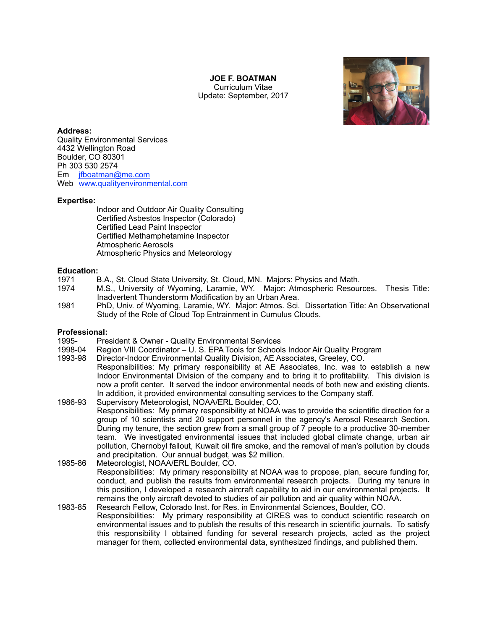# **JOE F. BOATMAN**

Curriculum Vitae Update: September, 2017



# **Address:**

Quality Environmental Services 4432 Wellington Road Boulder, CO 80301 Ph 303 530 2574 Em jfboatman@me.com Web [www.qualityenvironmental.com](http://www.qualityenvironmental.com)

#### **Expertise:**

 Indoor and Outdoor Air Quality Consulting Certified Asbestos Inspector (Colorado) Certified Lead Paint Inspector Certified Methamphetamine Inspector Atmospheric Aerosols Atmospheric Physics and Meteorology

# **Education:**

- 1971 B.A., St. Cloud State University, St. Cloud, MN. Majors: Physics and Math.
- 1974 M.S., University of Wyoming, Laramie, WY. Major: Atmospheric Resources. Thesis Title: Inadvertent Thunderstorm Modification by an Urban Area.
- 1981 PhD, Univ. of Wyoming, Laramie, WY. Major: Atmos. Sci. Dissertation Title: An Observational Study of the Role of Cloud Top Entrainment in Cumulus Clouds.

## **Professional:**

- 1995- President & Owner Quality Environmental Services<br>1998-04 Region VIII Coordinator U. S. EPA Tools for School
- 1998-04 Region VIII Coordinator U. S. EPA Tools for Schools Indoor Air Quality Program<br>1993-98 Director-Indoor Environmental Quality Division. AE Associates. Greeley. CO.
- Director-Indoor Environmental Quality Division, AE Associates, Greeley, CO. Responsibilities: My primary responsibility at AE Associates, Inc. was to establish a new Indoor Environmental Division of the company and to bring it to profitability. This division is now a profit center. It served the indoor environmental needs of both new and existing clients. In addition, it provided environmental consulting services to the Company staff.
- 1986-93 Supervisory Meteorologist, NOAA/ERL Boulder, CO. Responsibilities: My primary responsibility at NOAA was to provide the scientific direction for a group of 10 scientists and 20 support personnel in the agency's Aerosol Research Section. During my tenure, the section grew from a small group of 7 people to a productive 30-member team. We investigated environmental issues that included global climate change, urban air pollution, Chernobyl fallout, Kuwait oil fire smoke, and the removal of man's pollution by clouds and precipitation. Our annual budget, was \$2 million.
- 1985-86 Meteorologist, NOAA/ERL Boulder, CO. Responsibilities: My primary responsibility at NOAA was to propose, plan, secure funding for, conduct, and publish the results from environmental research projects. During my tenure in this position, I developed a research aircraft capability to aid in our environmental projects. It remains the only aircraft devoted to studies of air pollution and air quality within NOAA.
- 1983-85 Research Fellow, Colorado Inst. for Res. in Environmental Sciences, Boulder, CO. Responsibilities: My primary responsibility at CIRES was to conduct scientific research on environmental issues and to publish the results of this research in scientific journals. To satisfy this responsibility I obtained funding for several research projects, acted as the project manager for them, collected environmental data, synthesized findings, and published them.